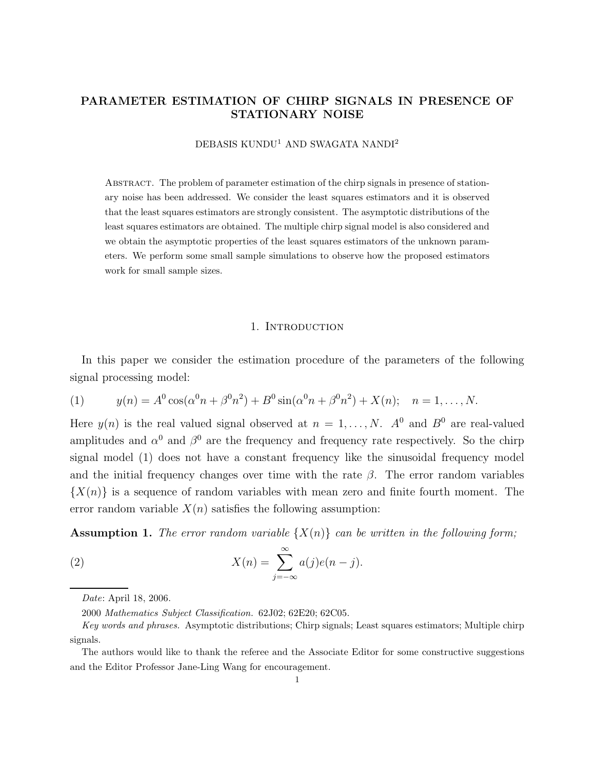# PARAMETER ESTIMATION OF CHIRP SIGNALS IN PRESENCE OF STATIONARY NOISE

DEBASIS KUNDU<sup>1</sup> AND SWAGATA NANDI<sup>2</sup>

Abstract. The problem of parameter estimation of the chirp signals in presence of stationary noise has been addressed. We consider the least squares estimators and it is observed that the least squares estimators are strongly consistent. The asymptotic distributions of the least squares estimators are obtained. The multiple chirp signal model is also considered and we obtain the asymptotic properties of the least squares estimators of the unknown parameters. We perform some small sample simulations to observe how the proposed estimators work for small sample sizes.

#### 1. INTRODUCTION

In this paper we consider the estimation procedure of the parameters of the following signal processing model:

(1) 
$$
y(n) = A^0 \cos(\alpha^0 n + \beta^0 n^2) + B^0 \sin(\alpha^0 n + \beta^0 n^2) + X(n); \quad n = 1, ..., N.
$$

Here  $y(n)$  is the real valued signal observed at  $n = 1, ..., N$ .  $A^0$  and  $B^0$  are real-valued amplitudes and  $\alpha^0$  and  $\beta^0$  are the frequency and frequency rate respectively. So the chirp signal model (1) does not have a constant frequency like the sinusoidal frequency model and the initial frequency changes over time with the rate  $\beta$ . The error random variables  $\{X(n)\}\$ is a sequence of random variables with mean zero and finite fourth moment. The error random variable  $X(n)$  satisfies the following assumption:

**Assumption 1.** The error random variable  $\{X(n)\}\$ can be written in the following form;

(2) 
$$
X(n) = \sum_{j=-\infty}^{\infty} a(j)e(n-j).
$$

Date: April 18, 2006.

<sup>2000</sup> Mathematics Subject Classification. 62J02; 62E20; 62C05.

Key words and phrases. Asymptotic distributions; Chirp signals; Least squares estimators; Multiple chirp signals.

The authors would like to thank the referee and the Associate Editor for some constructive suggestions and the Editor Professor Jane-Ling Wang for encouragement.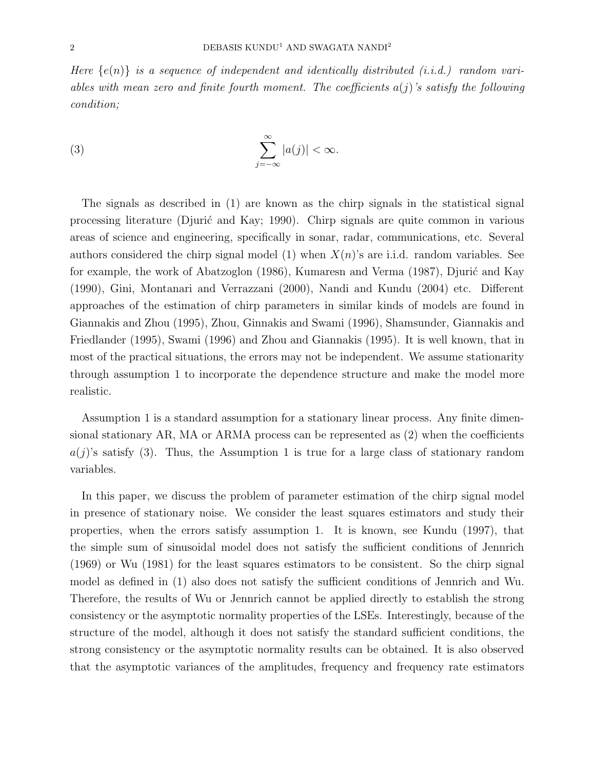Here  $\{e(n)\}\$ is a sequence of independent and identically distributed (i.i.d.) random variables with mean zero and finite fourth moment. The coefficients  $a(j)$ 's satisfy the following condition;

(3) 
$$
\sum_{j=-\infty}^{\infty} |a(j)| < \infty.
$$

The signals as described in (1) are known as the chirp signals in the statistical signal processing literature (Djurić and Kay; 1990). Chirp signals are quite common in various areas of science and engineering, specifically in sonar, radar, communications, etc. Several authors considered the chirp signal model (1) when  $X(n)$ 's are i.i.d. random variables. See for example, the work of Abatzoglon (1986), Kumaresn and Verma (1987), Djurić and Kay (1990), Gini, Montanari and Verrazzani (2000), Nandi and Kundu (2004) etc. Different approaches of the estimation of chirp parameters in similar kinds of models are found in Giannakis and Zhou (1995), Zhou, Ginnakis and Swami (1996), Shamsunder, Giannakis and Friedlander (1995), Swami (1996) and Zhou and Giannakis (1995). It is well known, that in most of the practical situations, the errors may not be independent. We assume stationarity through assumption 1 to incorporate the dependence structure and make the model more realistic.

Assumption 1 is a standard assumption for a stationary linear process. Any finite dimensional stationary AR, MA or ARMA process can be represented as (2) when the coefficients  $a(j)$ 's satisfy (3). Thus, the Assumption 1 is true for a large class of stationary random variables.

In this paper, we discuss the problem of parameter estimation of the chirp signal model in presence of stationary noise. We consider the least squares estimators and study their properties, when the errors satisfy assumption 1. It is known, see Kundu (1997), that the simple sum of sinusoidal model does not satisfy the sufficient conditions of Jennrich (1969) or Wu (1981) for the least squares estimators to be consistent. So the chirp signal model as defined in (1) also does not satisfy the sufficient conditions of Jennrich and Wu. Therefore, the results of Wu or Jennrich cannot be applied directly to establish the strong consistency or the asymptotic normality properties of the LSEs. Interestingly, because of the structure of the model, although it does not satisfy the standard sufficient conditions, the strong consistency or the asymptotic normality results can be obtained. It is also observed that the asymptotic variances of the amplitudes, frequency and frequency rate estimators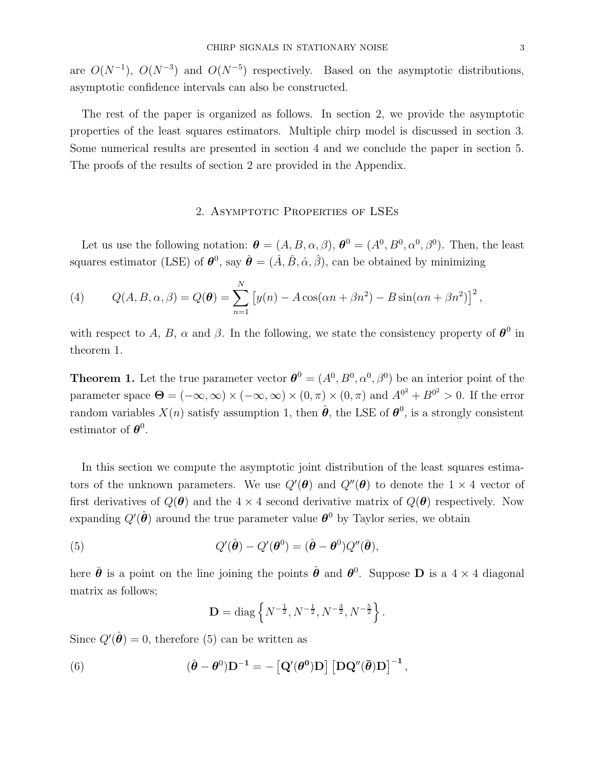are  $O(N^{-1})$ ,  $O(N^{-3})$  and  $O(N^{-5})$  respectively. Based on the asymptotic distributions, asymptotic confidence intervals can also be constructed.

The rest of the paper is organized as follows. In section 2, we provide the asymptotic properties of the least squares estimators. Multiple chirp model is discussed in section 3. Some numerical results are presented in section 4 and we conclude the paper in section 5. The proofs of the results of section 2 are provided in the Appendix.

## 2. Asymptotic Properties of LSEs

Let us use the following notation:  $\boldsymbol{\theta} = (A, B, \alpha, \beta), \boldsymbol{\theta}^0 = (A^0, B^0, \alpha^0, \beta^0)$ . Then, the least squares estimator (LSE) of  $\theta^0$ , say  $\hat{\theta} = (\hat{A}, \hat{B}, \hat{\alpha}, \hat{\beta})$ , can be obtained by minimizing

(4) 
$$
Q(A, B, \alpha, \beta) = Q(\boldsymbol{\theta}) = \sum_{n=1}^{N} \left[ y(n) - A \cos(\alpha n + \beta n^2) - B \sin(\alpha n + \beta n^2) \right]^2,
$$

with respect to A, B,  $\alpha$  and  $\beta$ . In the following, we state the consistency property of  $\theta^0$  in theorem 1.

**Theorem 1.** Let the true parameter vector  $\boldsymbol{\theta}^0 = (A^0, B^0, \alpha^0, \beta^0)$  be an interior point of the parameter space  $\Theta = (-\infty, \infty) \times (-\infty, \infty) \times (0, \pi) \times (0, \pi)$  and  $A^{0^2} + B^{0^2} > 0$ . If the error random variables  $X(n)$  satisfy assumption 1, then  $\hat{\theta}$ , the LSE of  $\theta^0$ , is a strongly consistent estimator of  $\boldsymbol{\theta}^0$ .

In this section we compute the asymptotic joint distribution of the least squares estimators of the unknown parameters. We use  $Q'(\theta)$  and  $Q''(\theta)$  to denote the 1  $\times$  4 vector of first derivatives of  $Q(\theta)$  and the 4 × 4 second derivative matrix of  $Q(\theta)$  respectively. Now expanding  $Q'(\hat{\theta})$  around the true parameter value  $\theta^0$  by Taylor series, we obtain

(5) 
$$
Q'(\hat{\boldsymbol{\theta}}) - Q'(\boldsymbol{\theta}^0) = (\hat{\boldsymbol{\theta}} - \boldsymbol{\theta}^0)Q''(\bar{\boldsymbol{\theta}}),
$$

here  $\bar{\theta}$  is a point on the line joining the points  $\hat{\theta}$  and  $\theta^0$ . Suppose **D** is a 4 × 4 diagonal matrix as follows;

$$
\mathbf{D} = \text{diag}\left\{N^{-\frac{1}{2}}, N^{-\frac{1}{2}}, N^{-\frac{3}{2}}, N^{-\frac{5}{2}}\right\}.
$$

Since  $Q'(\hat{\theta}) = 0$ , therefore (5) can be written as

(6) 
$$
(\hat{\boldsymbol{\theta}} - \boldsymbol{\theta}^0)\mathbf{D}^{-1} = -\left[\mathbf{Q}'(\boldsymbol{\theta}^0)\mathbf{D}\right]\left[\mathbf{D}\mathbf{Q}''(\bar{\boldsymbol{\theta}})\mathbf{D}\right]^{-1},
$$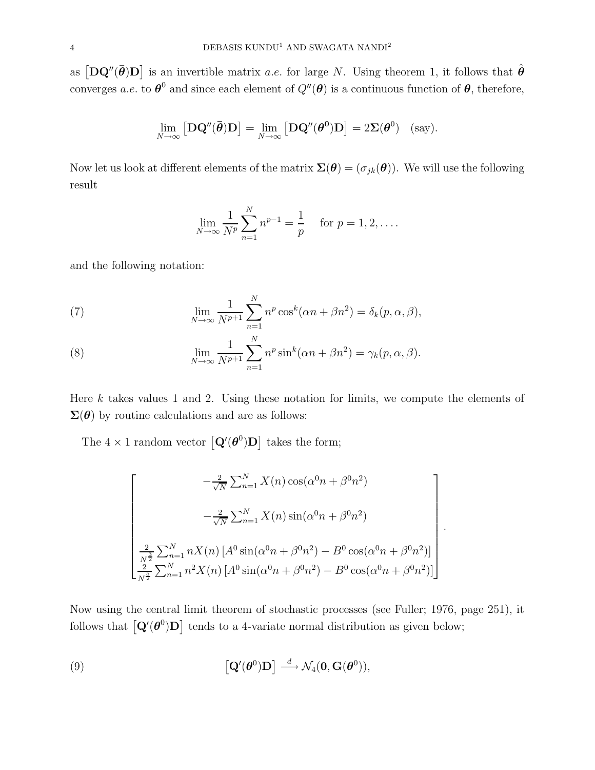as  $[D\mathbf{Q}''(\bar{\boldsymbol{\theta}})\mathbf{D}]$  is an invertible matrix *a.e.* for large N. Using theorem 1, it follows that  $\hat{\boldsymbol{\theta}}$ converges *a.e.* to  $\theta^0$  and since each element of  $Q''(\theta)$  is a continuous function of  $\theta$ , therefore,

$$
\lim_{N \to \infty} [\mathbf{D} \mathbf{Q}''(\bar{\boldsymbol{\theta}}) \mathbf{D}] = \lim_{N \to \infty} [\mathbf{D} \mathbf{Q}''(\boldsymbol{\theta}^0) \mathbf{D}] = 2 \mathbf{\Sigma}(\boldsymbol{\theta}^0) \quad \text{(say)}.
$$

Now let us look at different elements of the matrix  $\Sigma(\theta) = (\sigma_{jk}(\theta))$ . We will use the following result

$$
\lim_{N \to \infty} \frac{1}{N^p} \sum_{n=1}^{N} n^{p-1} = \frac{1}{p} \quad \text{for } p = 1, 2, \dots.
$$

and the following notation:

(7) 
$$
\lim_{N \to \infty} \frac{1}{N^{p+1}} \sum_{n=1}^{N} n^p \cos^k(\alpha n + \beta n^2) = \delta_k(p, \alpha, \beta),
$$

(8) 
$$
\lim_{N \to \infty} \frac{1}{N^{p+1}} \sum_{n=1}^{N} n^p \sin^k(\alpha n + \beta n^2) = \gamma_k(p, \alpha, \beta).
$$

Here  $k$  takes values 1 and 2. Using these notation for limits, we compute the elements of  $\Sigma(\theta)$  by routine calculations and are as follows:

The  $4 \times 1$  random vector  $\left[{\bf Q}'(\boldsymbol{\theta}^0){\bf D}\right]$  takes the form;

$$
\begin{bmatrix}\n-\frac{2}{\sqrt{N}} \sum_{n=1}^{N} X(n) \cos(\alpha^{0} n + \beta^{0} n^{2}) \\
-\frac{2}{\sqrt{N}} \sum_{n=1}^{N} X(n) \sin(\alpha^{0} n + \beta^{0} n^{2})\n\end{bmatrix}.
$$
\n
$$
\begin{bmatrix}\n\frac{2}{N^{2}} \sum_{n=1}^{N} n X(n) [A^{0} \sin(\alpha^{0} n + \beta^{0} n^{2}) - B^{0} \cos(\alpha^{0} n + \beta^{0} n^{2})] \\
\frac{2}{N^{2}} \sum_{n=1}^{N} n^{2} X(n) [A^{0} \sin(\alpha^{0} n + \beta^{0} n^{2}) - B^{0} \cos(\alpha^{0} n + \beta^{0} n^{2})]\n\end{bmatrix}.
$$

Now using the central limit theorem of stochastic processes (see Fuller; 1976, page 251), it follows that  $\left[\mathbf{Q}'(\boldsymbol{\theta}^0)\mathbf{D}\right]$  tends to a 4-variate normal distribution as given below;

(9) 
$$
\left[\mathbf{Q}'(\boldsymbol{\theta}^0)\mathbf{D}\right] \stackrel{d}{\longrightarrow} \mathcal{N}_4(\mathbf{0},\mathbf{G}(\boldsymbol{\theta}^0)),
$$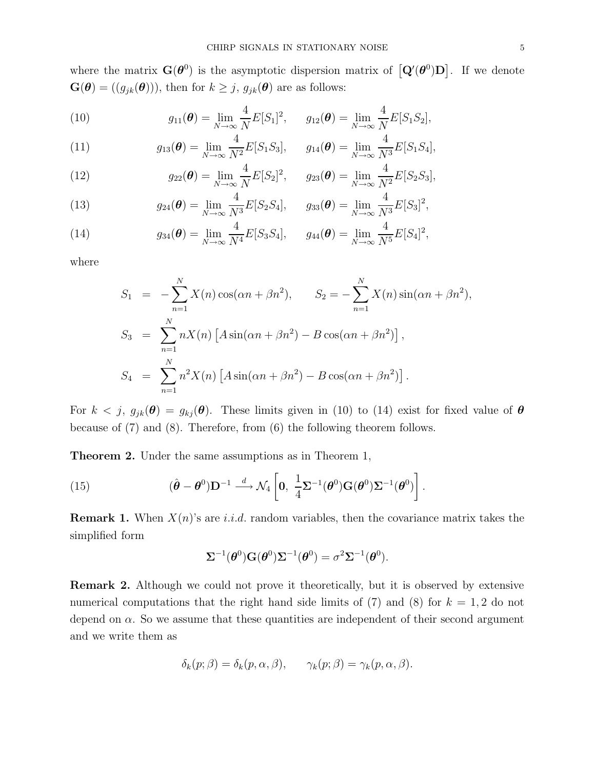where the matrix  $\mathbf{G}(\boldsymbol{\theta}^{0})$  is the asymptotic dispersion matrix of  $\left[\mathbf{Q}'(\boldsymbol{\theta}^{0})\mathbf{D}\right]$ . If we denote  $\mathbf{G}(\boldsymbol{\theta}) = ((g_{jk}(\boldsymbol{\theta})))$ , then for  $k \geq j$ ,  $g_{jk}(\boldsymbol{\theta})$  are as follows:

(10) 
$$
g_{11}(\theta) = \lim_{N \to \infty} \frac{4}{N} E[S_1]^2, \quad g_{12}(\theta) = \lim_{N \to \infty} \frac{4}{N} E[S_1 S_2],
$$

(11) 
$$
g_{13}(\theta) = \lim_{N \to \infty} \frac{4}{N^2} E[S_1 S_3], \quad g_{14}(\theta) = \lim_{N \to \infty} \frac{4}{N^3} E[S_1 S_4],
$$

(12) 
$$
g_{22}(\boldsymbol{\theta}) = \lim_{N \to \infty} \frac{4}{N} E[S_2]^2, \quad g_{23}(\boldsymbol{\theta}) = \lim_{N \to \infty} \frac{4}{N^2} E[S_2 S_3],
$$

(13) 
$$
g_{24}(\boldsymbol{\theta}) = \lim_{N \to \infty} \frac{4}{N^3} E[S_2 S_4], \qquad g_{33}(\boldsymbol{\theta}) = \lim_{N \to \infty} \frac{4}{N^3} E[S_3]^2,
$$

(14) 
$$
g_{34}(\theta) = \lim_{N \to \infty} \frac{4}{N^4} E[S_3 S_4], \qquad g_{44}(\theta) = \lim_{N \to \infty} \frac{4}{N^5} E[S_4]^2,
$$

where

$$
S_1 = -\sum_{n=1}^{N} X(n) \cos(\alpha n + \beta n^2), \qquad S_2 = -\sum_{n=1}^{N} X(n) \sin(\alpha n + \beta n^2),
$$
  
\n
$$
S_3 = \sum_{n=1}^{N} nX(n) [A \sin(\alpha n + \beta n^2) - B \cos(\alpha n + \beta n^2)],
$$
  
\n
$$
S_4 = \sum_{n=1}^{N} n^2 X(n) [A \sin(\alpha n + \beta n^2) - B \cos(\alpha n + \beta n^2)].
$$

For  $k < j$ ,  $g_{jk}(\theta) = g_{kj}(\theta)$ . These limits given in (10) to (14) exist for fixed value of  $\theta$ because of (7) and (8). Therefore, from (6) the following theorem follows.

Theorem 2. Under the same assumptions as in Theorem 1,

(15) 
$$
(\hat{\boldsymbol{\theta}} - \boldsymbol{\theta}^0) \mathbf{D}^{-1} \stackrel{d}{\longrightarrow} \mathcal{N}_4 \left[ \mathbf{0}, \ \frac{1}{4} \boldsymbol{\Sigma}^{-1} (\boldsymbol{\theta}^0) \mathbf{G} (\boldsymbol{\theta}^0) \boldsymbol{\Sigma}^{-1} (\boldsymbol{\theta}^0) \right].
$$

**Remark 1.** When  $X(n)$ 's are i.i.d. random variables, then the covariance matrix takes the simplified form

$$
\Sigma^{-1}(\boldsymbol{\theta}^0)\mathbf{G}(\boldsymbol{\theta}^0)\Sigma^{-1}(\boldsymbol{\theta}^0)=\sigma^2\Sigma^{-1}(\boldsymbol{\theta}^0).
$$

Remark 2. Although we could not prove it theoretically, but it is observed by extensive numerical computations that the right hand side limits of  $(7)$  and  $(8)$  for  $k = 1, 2$  do not depend on  $\alpha$ . So we assume that these quantities are independent of their second argument and we write them as

$$
\delta_k(p; \beta) = \delta_k(p, \alpha, \beta), \qquad \gamma_k(p; \beta) = \gamma_k(p, \alpha, \beta).
$$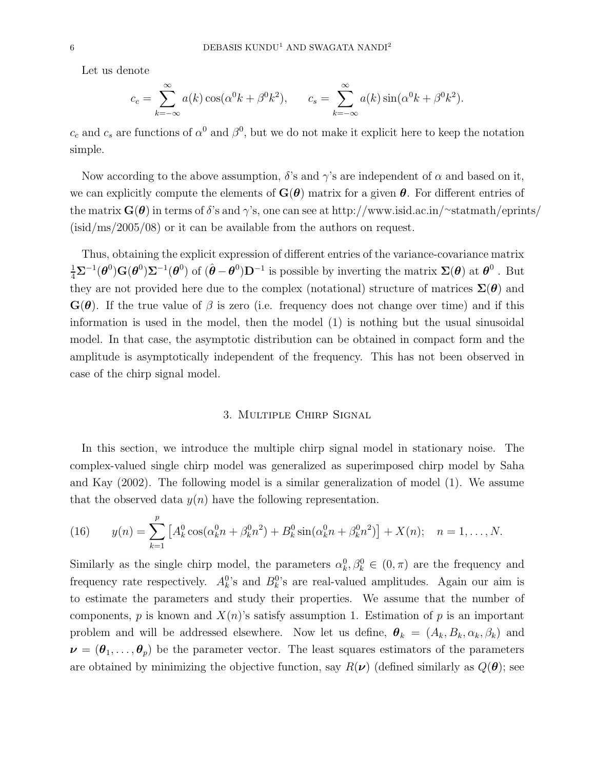Let us denote

$$
c_c = \sum_{k=-\infty}^{\infty} a(k) \cos(\alpha^0 k + \beta^0 k^2), \qquad c_s = \sum_{k=-\infty}^{\infty} a(k) \sin(\alpha^0 k + \beta^0 k^2).
$$

 $c_c$  and  $c_s$  are functions of  $\alpha^0$  and  $\beta^0$ , but we do not make it explicit here to keep the notation simple.

Now according to the above assumption,  $\delta$ 's and  $\gamma$ 's are independent of  $\alpha$  and based on it, we can explicitly compute the elements of  $\mathbf{G}(\boldsymbol{\theta})$  matrix for a given  $\boldsymbol{\theta}$ . For different entries of the matrix  $\mathbf{G}(\boldsymbol{\theta})$  in terms of  $\delta$ 's and  $\gamma$ 's, one can see at http://www.isid.ac.in/∼statmath/eprints/ (isid/ms/2005/08) or it can be available from the authors on request.

Thus, obtaining the explicit expression of different entries of the variance-covariance matrix  $\frac{1}{4}\Sigma^{-1}(\theta^0)G(\theta^0)\Sigma^{-1}(\theta^0)$  of  $(\hat{\theta}-\theta^0)\mathbf{D}^{-1}$  is possible by inverting the matrix  $\Sigma(\theta)$  at  $\theta^0$  . But they are not provided here due to the complex (notational) structure of matrices  $\Sigma(\theta)$  and  $\mathbf{G}(\boldsymbol{\theta})$ . If the true value of  $\beta$  is zero (i.e. frequency does not change over time) and if this information is used in the model, then the model (1) is nothing but the usual sinusoidal model. In that case, the asymptotic distribution can be obtained in compact form and the amplitude is asymptotically independent of the frequency. This has not been observed in case of the chirp signal model.

## 3. Multiple Chirp Signal

In this section, we introduce the multiple chirp signal model in stationary noise. The complex-valued single chirp model was generalized as superimposed chirp model by Saha and Kay (2002). The following model is a similar generalization of model (1). We assume that the observed data  $y(n)$  have the following representation.

(16) 
$$
y(n) = \sum_{k=1}^{p} \left[ A_k^0 \cos(\alpha_k^0 n + \beta_k^0 n^2) + B_k^0 \sin(\alpha_k^0 n + \beta_k^0 n^2) \right] + X(n); \quad n = 1, ..., N.
$$

Similarly as the single chirp model, the parameters  $\alpha_k^0, \beta_k^0 \in (0, \pi)$  are the frequency and frequency rate respectively.  $A_k^0$ 's and  $B_k^0$ 's are real-valued amplitudes. Again our aim is to estimate the parameters and study their properties. We assume that the number of components, p is known and  $X(n)$ 's satisfy assumption 1. Estimation of p is an important problem and will be addressed elsewhere. Now let us define,  $\theta_k = (A_k, B_k, \alpha_k, \beta_k)$  and  $\nu = (\theta_1, \ldots, \theta_p)$  be the parameter vector. The least squares estimators of the parameters are obtained by minimizing the objective function, say  $R(\nu)$  (defined similarly as  $Q(\theta)$ ; see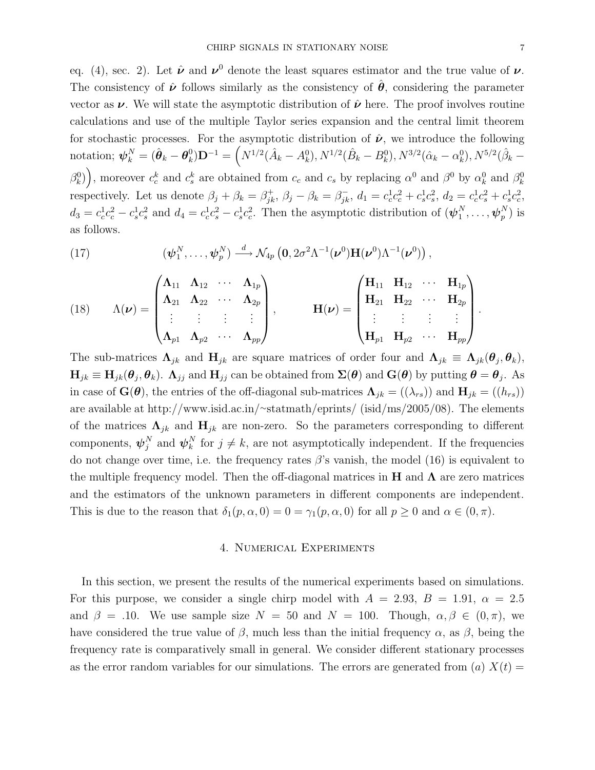eq. (4), sec. 2). Let  $\hat{\nu}$  and  $\nu^0$  denote the least squares estimator and the true value of  $\nu$ . The consistency of  $\hat{\nu}$  follows similarly as the consistency of  $\hat{\theta}$ , considering the parameter vector as  $\nu$ . We will state the asymptotic distribution of  $\hat{\nu}$  here. The proof involves routine calculations and use of the multiple Taylor series expansion and the central limit theorem for stochastic processes. For the asymptotic distribution of  $\hat{\nu}$ , we introduce the following notation;  $\boldsymbol{\psi}_k^N = (\hat{\boldsymbol{\theta}}_k - \boldsymbol{\theta}_k^0)$  $\hat{h}_k^0({\bf D}^{-1} = \left(N^{1/2}(\hat{A}_k - A_k^0), N^{1/2}(\hat{B}_k - B_k^0), N^{3/2}(\hat{\alpha}_k - \alpha_k^0), N^{5/2}(\hat{\beta}_k - B_k^0)\right)$  $(\beta_k^0)$ , moreover  $c_c^k$  and  $c_s^k$  are obtained from  $c_c$  and  $c_s$  by replacing  $\alpha^0$  and  $\beta^0$  by  $\alpha_k^0$  and  $\beta_k^0$ respectively. Let us denote  $\beta_j + \beta_k = \beta_{ik}^+$  $j_k^+$ ,  $\beta_j - \beta_k = \beta_{jk}^-$ ,  $d_1 = c_c^1 c_c^2 + c_s^1 c_s^2$ ,  $d_2 = c_c^1 c_s^2 + c_s^1 c_c^2$ ,  $d_3 = c_c^1 c_c^2 - c_s^1 c_s^2$  and  $d_4 = c_c^1 c_s^2 - c_s^1 c_c^2$ . Then the asymptotic distribution of  $(\psi_1^N)$  $_{1}^{N},\ldots,\boldsymbol{\psi}_{p}^{N}$  $_p^N$ ) is as follows.

(17) 
$$
(\boldsymbol{\psi}_1^N,\ldots,\boldsymbol{\psi}_p^N)\stackrel{d}{\longrightarrow}\mathcal{N}_{4p}\left(\mathbf{0},2\sigma^2\Lambda^{-1}(\boldsymbol{\nu}^0)\mathbf{H}(\boldsymbol{\nu}^0)\Lambda^{-1}(\boldsymbol{\nu}^0)\right),
$$

(18) 
$$
\Lambda(\nu) = \begin{pmatrix} \Lambda_{11} & \Lambda_{12} & \cdots & \Lambda_{1p} \\ \Lambda_{21} & \Lambda_{22} & \cdots & \Lambda_{2p} \\ \vdots & \vdots & \vdots & \vdots \\ \Lambda_{p1} & \Lambda_{p2} & \cdots & \Lambda_{pp} \end{pmatrix}, \qquad \mathbf{H}(\nu) = \begin{pmatrix} \mathbf{H}_{11} & \mathbf{H}_{12} & \cdots & \mathbf{H}_{1p} \\ \mathbf{H}_{21} & \mathbf{H}_{22} & \cdots & \mathbf{H}_{2p} \\ \vdots & \vdots & \vdots & \vdots \\ \mathbf{H}_{p1} & \mathbf{H}_{p2} & \cdots & \mathbf{H}_{pp} \end{pmatrix}.
$$

The sub-matrices  $\Lambda_{jk}$  and  $H_{jk}$  are square matrices of order four and  $\Lambda_{jk} \equiv \Lambda_{jk}(\theta_j, \theta_k)$ ,  $H_{jk} \equiv H_{jk}(\theta_j, \theta_k)$ .  $\Lambda_{jj}$  and  $H_{jj}$  can be obtained from  $\Sigma(\theta)$  and  $\mathbf{G}(\theta)$  by putting  $\theta = \theta_j$ . As in case of  $\mathbf{G}(\boldsymbol{\theta})$ , the entries of the off-diagonal sub-matrices  $\mathbf{\Lambda}_{jk} = ((\lambda_{rs}))$  and  $\mathbf{H}_{jk} = ((h_{rs}))$ are available at http://www.isid.ac.in/∼statmath/eprints/ (isid/ms/2005/08). The elements of the matrices  $\Lambda_{jk}$  and  $H_{jk}$  are non-zero. So the parameters corresponding to different components,  $\boldsymbol{\psi}_i^N$  $_j^N$  and  $\boldsymbol{\psi}_k^N$  $\binom{N}{k}$  for  $j \neq k$ , are not asymptotically independent. If the frequencies do not change over time, i.e. the frequency rates  $\beta$ 's vanish, the model (16) is equivalent to the multiple frequency model. Then the off-diagonal matrices in H and  $\Lambda$  are zero matrices and the estimators of the unknown parameters in different components are independent. This is due to the reason that  $\delta_1(p, \alpha, 0) = 0 = \gamma_1(p, \alpha, 0)$  for all  $p \ge 0$  and  $\alpha \in (0, \pi)$ .

## 4. Numerical Experiments

In this section, we present the results of the numerical experiments based on simulations. For this purpose, we consider a single chirp model with  $A = 2.93, B = 1.91, \alpha = 2.5$ and  $\beta = .10$ . We use sample size  $N = 50$  and  $N = 100$ . Though,  $\alpha, \beta \in (0, \pi)$ , we have considered the true value of  $\beta$ , much less than the initial frequency  $\alpha$ , as  $\beta$ , being the frequency rate is comparatively small in general. We consider different stationary processes as the error random variables for our simulations. The errors are generated from (a)  $X(t) =$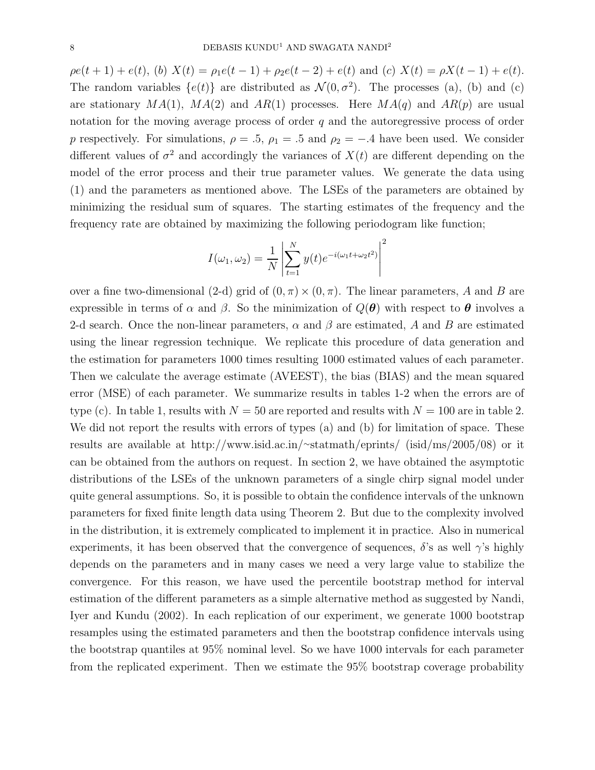$\rho e(t + 1) + e(t)$ , (b)  $X(t) = \rho_1 e(t - 1) + \rho_2 e(t - 2) + e(t)$  and (c)  $X(t) = \rho X(t - 1) + e(t)$ . The random variables  $\{e(t)\}\$ are distributed as  $\mathcal{N}(0, \sigma^2)$ . The processes (a), (b) and (c) are stationary  $MA(1)$ ,  $MA(2)$  and  $AR(1)$  processes. Here  $MA(q)$  and  $AR(p)$  are usual notation for the moving average process of order  $q$  and the autoregressive process of order p respectively. For simulations,  $\rho = .5$ ,  $\rho_1 = .5$  and  $\rho_2 = -.4$  have been used. We consider different values of  $\sigma^2$  and accordingly the variances of  $X(t)$  are different depending on the model of the error process and their true parameter values. We generate the data using (1) and the parameters as mentioned above. The LSEs of the parameters are obtained by minimizing the residual sum of squares. The starting estimates of the frequency and the frequency rate are obtained by maximizing the following periodogram like function;

$$
I(\omega_1, \omega_2) = \frac{1}{N} \left| \sum_{t=1}^{N} y(t) e^{-i(\omega_1 t + \omega_2 t^2)} \right|^2
$$

over a fine two-dimensional (2-d) grid of  $(0, \pi) \times (0, \pi)$ . The linear parameters, A and B are expressible in terms of  $\alpha$  and  $\beta$ . So the minimization of  $Q(\theta)$  with respect to  $\theta$  involves a 2-d search. Once the non-linear parameters,  $\alpha$  and  $\beta$  are estimated, A and B are estimated using the linear regression technique. We replicate this procedure of data generation and the estimation for parameters 1000 times resulting 1000 estimated values of each parameter. Then we calculate the average estimate (AVEEST), the bias (BIAS) and the mean squared error (MSE) of each parameter. We summarize results in tables 1-2 when the errors are of type (c). In table 1, results with  $N = 50$  are reported and results with  $N = 100$  are in table 2. We did not report the results with errors of types (a) and (b) for limitation of space. These results are available at http://www.isid.ac.in/∼statmath/eprints/ (isid/ms/2005/08) or it can be obtained from the authors on request. In section 2, we have obtained the asymptotic distributions of the LSEs of the unknown parameters of a single chirp signal model under quite general assumptions. So, it is possible to obtain the confidence intervals of the unknown parameters for fixed finite length data using Theorem 2. But due to the complexity involved in the distribution, it is extremely complicated to implement it in practice. Also in numerical experiments, it has been observed that the convergence of sequences,  $\delta$ 's as well  $\gamma$ 's highly depends on the parameters and in many cases we need a very large value to stabilize the convergence. For this reason, we have used the percentile bootstrap method for interval estimation of the different parameters as a simple alternative method as suggested by Nandi, Iyer and Kundu (2002). In each replication of our experiment, we generate 1000 bootstrap resamples using the estimated parameters and then the bootstrap confidence intervals using the bootstrap quantiles at 95% nominal level. So we have 1000 intervals for each parameter from the replicated experiment. Then we estimate the 95% bootstrap coverage probability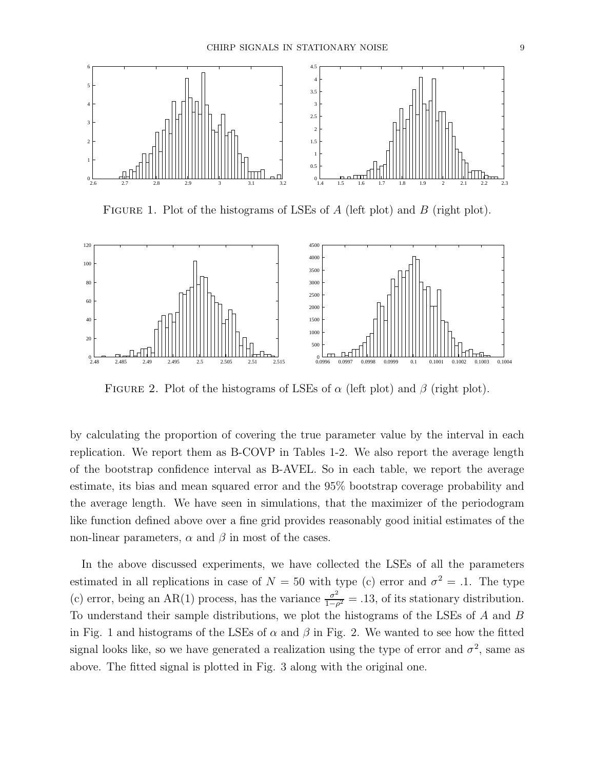

FIGURE 1. Plot of the histograms of LSEs of  $A$  (left plot) and  $B$  (right plot).



FIGURE 2. Plot of the histograms of LSEs of  $\alpha$  (left plot) and  $\beta$  (right plot).

by calculating the proportion of covering the true parameter value by the interval in each replication. We report them as B-COVP in Tables 1-2. We also report the average length of the bootstrap confidence interval as B-AVEL. So in each table, we report the average estimate, its bias and mean squared error and the 95% bootstrap coverage probability and the average length. We have seen in simulations, that the maximizer of the periodogram like function defined above over a fine grid provides reasonably good initial estimates of the non-linear parameters,  $\alpha$  and  $\beta$  in most of the cases.

In the above discussed experiments, we have collected the LSEs of all the parameters estimated in all replications in case of  $N = 50$  with type (c) error and  $\sigma^2 = .1$ . The type (c) error, being an AR(1) process, has the variance  $\frac{\sigma^2}{1-\sigma^2}$  $\frac{\sigma^2}{1-\rho^2}$  = .13, of its stationary distribution. To understand their sample distributions, we plot the histograms of the LSEs of A and B in Fig. 1 and histograms of the LSEs of  $\alpha$  and  $\beta$  in Fig. 2. We wanted to see how the fitted signal looks like, so we have generated a realization using the type of error and  $\sigma^2$ , same as above. The fitted signal is plotted in Fig. 3 along with the original one.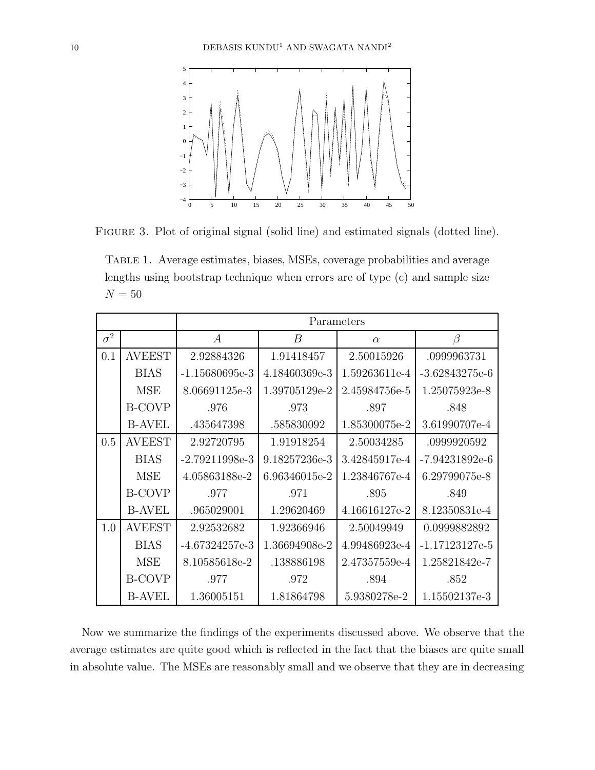

FIGURE 3. Plot of original signal (solid line) and estimated signals (dotted line).

Table 1. Average estimates, biases, MSEs, coverage probabilities and average lengths using bootstrap technique when errors are of type (c) and sample size  ${\cal N}=50$ 

|            |               | Parameters       |                |               |                  |  |
|------------|---------------|------------------|----------------|---------------|------------------|--|
| $\sigma^2$ |               | $\boldsymbol{A}$ | $\overline{B}$ | $\alpha$      | $\beta$          |  |
| 0.1        | <b>AVEEST</b> | 2.92884326       | 1.91418457     | 2.50015926    | .0999963731      |  |
|            | <b>BIAS</b>   | $-1.15680695e-3$ | 4.18460369e-3  | 1.59263611e-4 | $-3.62843275e-6$ |  |
|            | <b>MSE</b>    | 8.06691125e-3    | 1.39705129e-2  | 2.45984756e-5 | 1.25075923e-8    |  |
|            | <b>B-COVP</b> | .976             | .973           | .897          | .848             |  |
|            | <b>B-AVEL</b> | .435647398       | .585830092     | 1.85300075e-2 | 3.61990707e-4    |  |
| 0.5        | <b>AVEEST</b> | 2.92720795       | 1.91918254     | 2.50034285    | .0999920592      |  |
|            | <b>BIAS</b>   | $-2.79211998e-3$ | 9.18257236e-3  | 3.42845917e-4 | $-7.94231892e-6$ |  |
|            | <b>MSE</b>    | 4.05863188e-2    | 6.96346015e-2  | 1.23846767e-4 | 6.29799075e-8    |  |
|            | <b>B-COVP</b> | .977             | .971           | .895          | .849             |  |
|            | <b>B-AVEL</b> | .965029001       | 1.29620469     | 4.16616127e-2 | 8.12350831e-4    |  |
| 1.0        | <b>AVEEST</b> | 2.92532682       | 1.92366946     | 2.50049949    | 0.0999882892     |  |
|            | <b>BIAS</b>   | $-4.67324257e-3$ | 1.36694908e-2  | 4.99486923e-4 | $-1.17123127e-5$ |  |
|            | <b>MSE</b>    | 8.10585618e-2    | .138886198     | 2.47357559e-4 | 1.25821842e-7    |  |
|            | <b>B-COVP</b> | .977             | .972           | .894          | .852             |  |
|            | <b>B-AVEL</b> | 1.36005151       | 1.81864798     | 5.9380278e-2  | 1.15502137e-3    |  |

Now we summarize the findings of the experiments discussed above. We observe that the average estimates are quite good which is reflected in the fact that the biases are quite small in absolute value. The MSEs are reasonably small and we observe that they are in decreasing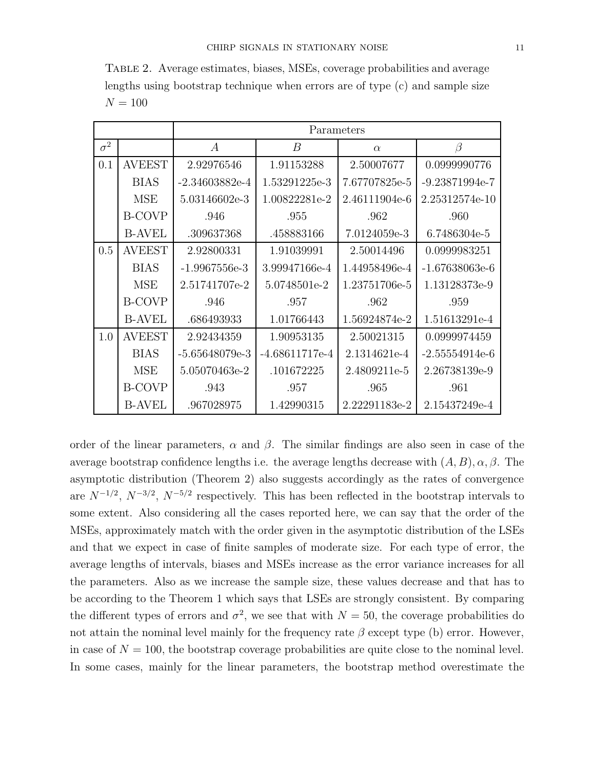Table 2. Average estimates, biases, MSEs, coverage probabilities and average lengths using bootstrap technique when errors are of type (c) and sample size  $N = 100$ 

|            |               | Parameters       |                  |               |                  |  |
|------------|---------------|------------------|------------------|---------------|------------------|--|
| $\sigma^2$ |               | $\boldsymbol{A}$ | $\boldsymbol{B}$ | $\alpha$      | $\beta$          |  |
| 0.1        | <b>AVEEST</b> | 2.92976546       | 1.91153288       | 2.50007677    | 0.0999990776     |  |
|            | <b>BIAS</b>   | $-2.34603882e-4$ | 1.53291225e-3    | 7.67707825e-5 | $-9.23871994e-7$ |  |
|            | <b>MSE</b>    | 5.03146602e-3    | 1.00822281e-2    | 2.46111904e-6 | 2.25312574e-10   |  |
|            | <b>B-COVP</b> | .946             | .955             | .962          | .960             |  |
|            | <b>B-AVEL</b> | .309637368       | .458883166       | 7.0124059e-3  | 6.7486304e-5     |  |
| 0.5        | <b>AVEEST</b> | 2.92800331       | 1.91039991       | 2.50014496    | 0.0999983251     |  |
|            | <b>BIAS</b>   | $-1.9967556e-3$  | 3.99947166e-4    | 1.44958496e-4 | $-1.67638063e-6$ |  |
|            | <b>MSE</b>    | 2.51741707e-2    | 5.0748501e-2     | 1.23751706e-5 | 1.13128373e-9    |  |
|            | <b>B-COVP</b> | .946             | .957             | .962          | .959             |  |
|            | <b>B-AVEL</b> | .686493933       | 1.01766443       | 1.56924874e-2 | 1.51613291e-4    |  |
| 1.0        | <b>AVEEST</b> | 2.92434359       | 1.90953135       | 2.50021315    | 0.0999974459     |  |
|            | <b>BIAS</b>   | $-5.65648079e-3$ | $-4.68611717e-4$ | 2.1314621e-4  | $-2.55554914e-6$ |  |
|            | MSE           | 5.05070463e-2    | .101672225       | 2.4809211e-5  | 2.26738139e-9    |  |
|            | <b>B-COVP</b> | .943             | .957             | .965          | .961             |  |
|            | <b>B-AVEL</b> | .967028975       | 1.42990315       | 2.22291183e-2 | 2.15437249e-4    |  |

order of the linear parameters,  $\alpha$  and  $\beta$ . The similar findings are also seen in case of the average bootstrap confidence lengths i.e. the average lengths decrease with  $(A, B), \alpha, \beta$ . The asymptotic distribution (Theorem 2) also suggests accordingly as the rates of convergence are  $N^{-1/2}$ ,  $N^{-3/2}$ ,  $N^{-5/2}$  respectively. This has been reflected in the bootstrap intervals to some extent. Also considering all the cases reported here, we can say that the order of the MSEs, approximately match with the order given in the asymptotic distribution of the LSEs and that we expect in case of finite samples of moderate size. For each type of error, the average lengths of intervals, biases and MSEs increase as the error variance increases for all the parameters. Also as we increase the sample size, these values decrease and that has to be according to the Theorem 1 which says that LSEs are strongly consistent. By comparing the different types of errors and  $\sigma^2$ , we see that with  $N = 50$ , the coverage probabilities do not attain the nominal level mainly for the frequency rate  $\beta$  except type (b) error. However, in case of  $N = 100$ , the bootstrap coverage probabilities are quite close to the nominal level. In some cases, mainly for the linear parameters, the bootstrap method overestimate the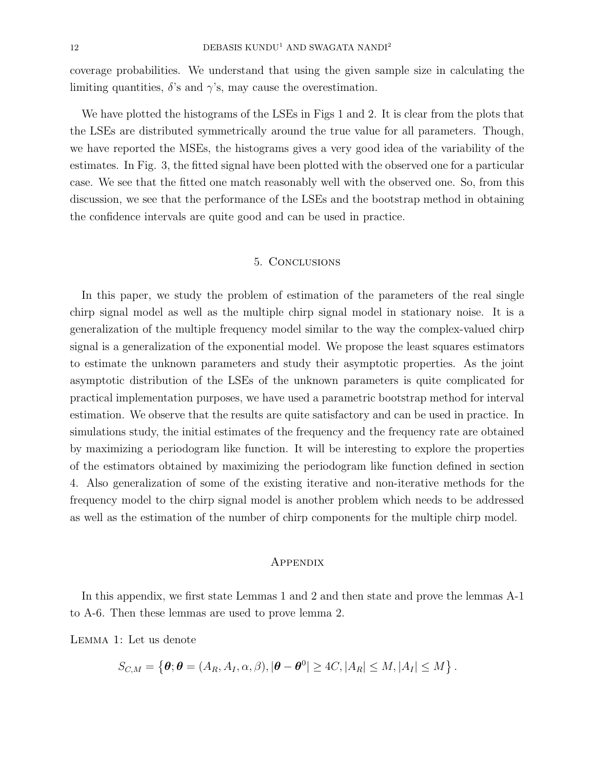coverage probabilities. We understand that using the given sample size in calculating the limiting quantities,  $\delta$ 's and  $\gamma$ 's, may cause the overestimation.

We have plotted the histograms of the LSEs in Figs 1 and 2. It is clear from the plots that the LSEs are distributed symmetrically around the true value for all parameters. Though, we have reported the MSEs, the histograms gives a very good idea of the variability of the estimates. In Fig. 3, the fitted signal have been plotted with the observed one for a particular case. We see that the fitted one match reasonably well with the observed one. So, from this discussion, we see that the performance of the LSEs and the bootstrap method in obtaining the confidence intervals are quite good and can be used in practice.

## 5. Conclusions

In this paper, we study the problem of estimation of the parameters of the real single chirp signal model as well as the multiple chirp signal model in stationary noise. It is a generalization of the multiple frequency model similar to the way the complex-valued chirp signal is a generalization of the exponential model. We propose the least squares estimators to estimate the unknown parameters and study their asymptotic properties. As the joint asymptotic distribution of the LSEs of the unknown parameters is quite complicated for practical implementation purposes, we have used a parametric bootstrap method for interval estimation. We observe that the results are quite satisfactory and can be used in practice. In simulations study, the initial estimates of the frequency and the frequency rate are obtained by maximizing a periodogram like function. It will be interesting to explore the properties of the estimators obtained by maximizing the periodogram like function defined in section 4. Also generalization of some of the existing iterative and non-iterative methods for the frequency model to the chirp signal model is another problem which needs to be addressed as well as the estimation of the number of chirp components for the multiple chirp model.

#### **APPENDIX**

In this appendix, we first state Lemmas 1 and 2 and then state and prove the lemmas A-1 to A-6. Then these lemmas are used to prove lemma 2.

Lemma 1: Let us denote

$$
S_{C,M} = \left\{ \boldsymbol{\theta}; \boldsymbol{\theta} = (A_R, A_I, \alpha, \beta), |\boldsymbol{\theta} - \boldsymbol{\theta}^0| \ge 4C, |A_R| \le M, |A_I| \le M \right\}.
$$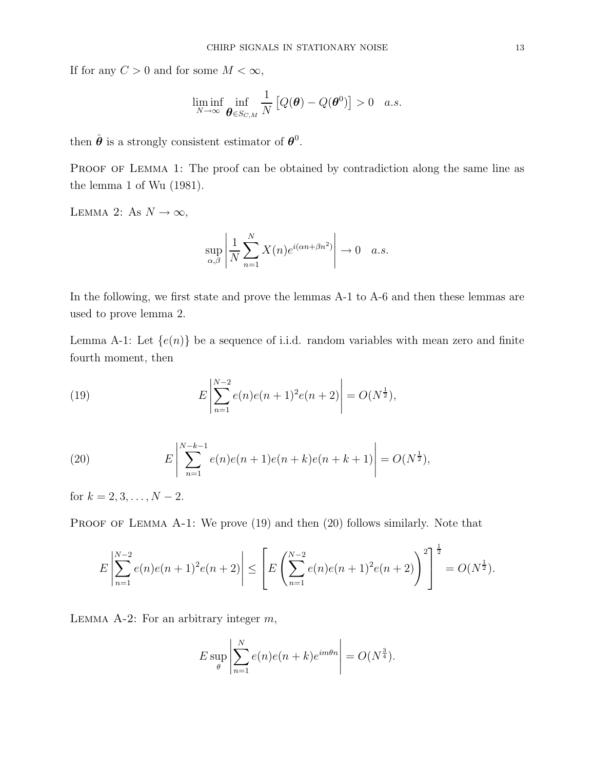If for any  $C > 0$  and for some  $M < \infty$ ,

$$
\liminf_{N\to\infty}\inf_{\boldsymbol{\theta}\in S_{C,M}}\frac{1}{N}\left[Q(\boldsymbol{\theta})-Q(\boldsymbol{\theta}^0)\right]>0\quad a.s.
$$

then  $\hat{\boldsymbol{\theta}}$  is a strongly consistent estimator of  $\boldsymbol{\theta}^0$ .

PROOF OF LEMMA 1: The proof can be obtained by contradiction along the same line as the lemma 1 of Wu (1981).

LEMMA 2: As  $N \to \infty$ ,

$$
\sup_{\alpha,\beta} \left| \frac{1}{N} \sum_{n=1}^{N} X(n) e^{i(\alpha n + \beta n^2)} \right| \to 0 \quad a.s.
$$

In the following, we first state and prove the lemmas A-1 to A-6 and then these lemmas are used to prove lemma 2.

Lemma A-1: Let  $\{e(n)\}\$ be a sequence of i.i.d. random variables with mean zero and finite fourth moment, then

(19) 
$$
E\left|\sum_{n=1}^{N-2}e(n)e(n+1)^2e(n+2)\right| = O(N^{\frac{1}{2}}),
$$

(20) 
$$
E\left|\sum_{n=1}^{N-k-1}e(n)e(n+1)e(n+k)e(n+k+1)\right| = O(N^{\frac{1}{2}}),
$$

for  $k = 2, 3, \ldots, N - 2$ .

PROOF OF LEMMA A-1: We prove (19) and then (20) follows similarly. Note that

$$
E\left|\sum_{n=1}^{N-2}e(n)e(n+1)^2e(n+2)\right| \le \left[E\left(\sum_{n=1}^{N-2}e(n)e(n+1)^2e(n+2)\right)^2\right]^{\frac{1}{2}} = O(N^{\frac{1}{2}}).
$$

LEMMA A-2: For an arbitrary integer  $m$ ,

$$
E \sup_{\theta} \left| \sum_{n=1}^{N} e(n)e(n+k)e^{im\theta n} \right| = O(N^{\frac{3}{4}}).
$$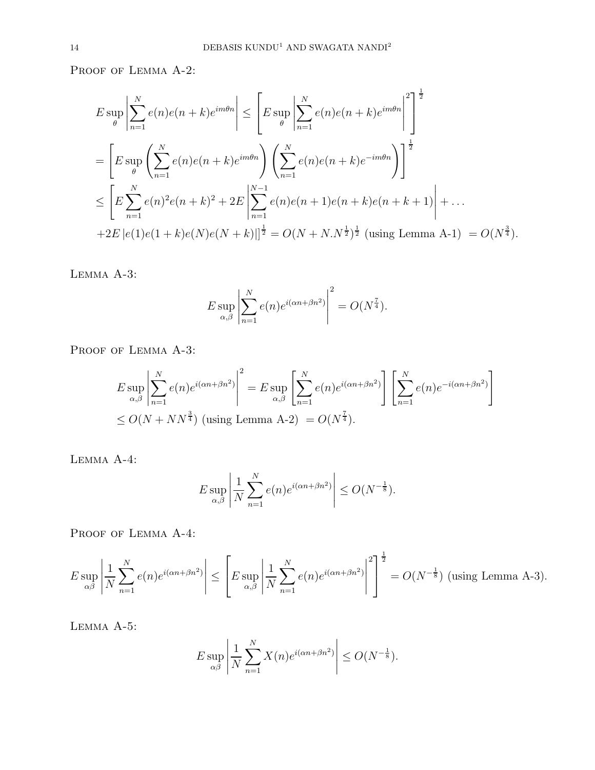PROOF OF LEMMA A-2:

$$
E \sup_{\theta} \left| \sum_{n=1}^{N} e(n)e(n+k)e^{im\theta n} \right| \leq \left[ E \sup_{\theta} \left| \sum_{n=1}^{N} e(n)e(n+k)e^{im\theta n} \right|^{2} \right]^{1/2}
$$
  
= 
$$
\left[ E \sup_{\theta} \left( \sum_{n=1}^{N} e(n)e(n+k)e^{im\theta n} \right) \left( \sum_{n=1}^{N} e(n)e(n+k)e^{-im\theta n} \right) \right]^{1/2}
$$
  

$$
\leq \left[ E \sum_{n=1}^{N} e(n)^{2}e(n+k)^{2} + 2E \left| \sum_{n=1}^{N-1} e(n)e(n+1)e(n+k)e(n+k+1) \right| + ...
$$
  
+2E |e(1)e(1+k)e(N)e(N+k)||<sup>1/2</sup> = O(N+N,N<sup>1</sup>)<sup>1/2</sup> (using Lemma A-1) = O(N<sup>1/3</sup>).

Lemma A-3:

$$
E \sup_{\alpha,\beta} \left| \sum_{n=1}^N e(n) e^{i(\alpha n + \beta n^2)} \right|^2 = O(N^{\frac{7}{4}}).
$$

PROOF OF LEMMA A-3:

$$
E \sup_{\alpha,\beta} \left| \sum_{n=1}^{N} e(n) e^{i(\alpha n + \beta n^2)} \right|^2 = E \sup_{\alpha,\beta} \left[ \sum_{n=1}^{N} e(n) e^{i(\alpha n + \beta n^2)} \right] \left[ \sum_{n=1}^{N} e(n) e^{-i(\alpha n + \beta n^2)} \right]
$$
  

$$
\leq O(N + NN^{\frac{3}{4}}) \text{ (using Lemma A-2)} = O(N^{\frac{7}{4}}).
$$

Lemma A-4:

$$
E \sup_{\alpha,\beta} \left| \frac{1}{N} \sum_{n=1}^{N} e(n) e^{i(\alpha n + \beta n^2)} \right| \le O(N^{-\frac{1}{8}}).
$$

PROOF OF LEMMA A-4:

$$
E \sup_{\alpha\beta} \left| \frac{1}{N} \sum_{n=1}^N e(n) e^{i(\alpha n + \beta n^2)} \right| \le \left[ E \sup_{\alpha,\beta} \left| \frac{1}{N} \sum_{n=1}^N e(n) e^{i(\alpha n + \beta n^2)} \right|^2 \right]^{\frac{1}{2}} = O(N^{-\frac{1}{8}}) \text{ (using Lemma A-3).}
$$

Lemma A-5:

$$
E \sup_{\alpha\beta} \left| \frac{1}{N} \sum_{n=1}^{N} X(n) e^{i(\alpha n + \beta n^2)} \right| \le O(N^{-\frac{1}{8}}).
$$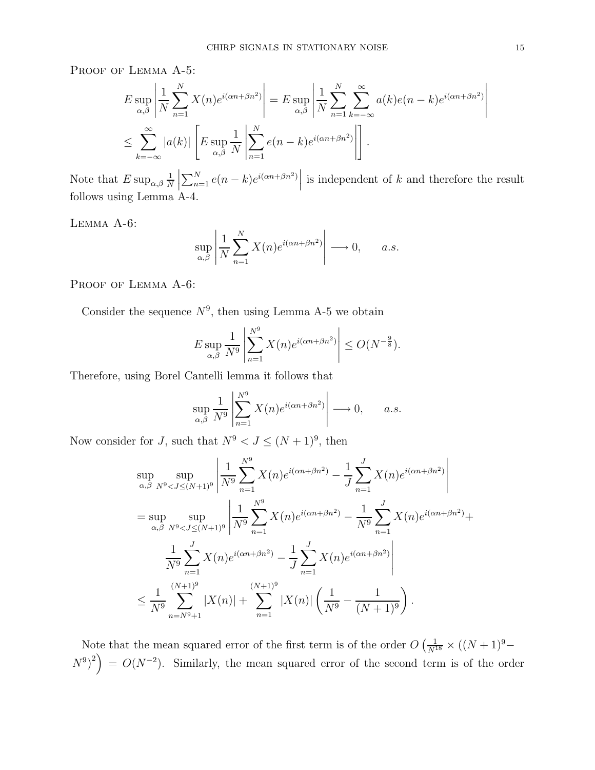PROOF OF LEMMA A-5:

$$
E \sup_{\alpha,\beta} \left| \frac{1}{N} \sum_{n=1}^{N} X(n) e^{i(\alpha n + \beta n^2)} \right| = E \sup_{\alpha,\beta} \left| \frac{1}{N} \sum_{n=1}^{N} \sum_{k=-\infty}^{\infty} a(k) e(n-k) e^{i(\alpha n + \beta n^2)} \right|
$$
  

$$
\leq \sum_{k=-\infty}^{\infty} |a(k)| \left[ E \sup_{\alpha,\beta} \frac{1}{N} \left| \sum_{n=1}^{N} e(n-k) e^{i(\alpha n + \beta n^2)} \right| \right].
$$

Note that  $E \sup_{\alpha,\beta} \frac{1}{N}$ N  $\overline{\phantom{a}}$  $\sum_{n=1}^{N} e(n-k)e^{i(\alpha n+\beta n^2)}$ is independent of  $k$  and therefore the result follows using Lemma A-4.

Lemma A-6:

$$
\sup_{\alpha,\beta} \left| \frac{1}{N} \sum_{n=1}^{N} X(n) e^{i(\alpha n + \beta n^2)} \right| \longrightarrow 0, \quad a.s.
$$

PROOF OF LEMMA A-6:

Consider the sequence  $N^9$ , then using Lemma A-5 we obtain

$$
E \sup_{\alpha,\beta} \frac{1}{N^9} \left| \sum_{n=1}^{N^9} X(n) e^{i(\alpha n + \beta n^2)} \right| \le O(N^{-\frac{9}{8}}).
$$

Therefore, using Borel Cantelli lemma it follows that

$$
\sup_{\alpha,\beta} \frac{1}{N^9} \left| \sum_{n=1}^{N^9} X(n) e^{i(\alpha n + \beta n^2)} \right| \longrightarrow 0, \quad a.s.
$$

Now consider for J, such that  $N^9 < J \leq (N+1)^9$ , then

$$
\sup_{\alpha,\beta} \sup_{N^9 < J \le (N+1)^9} \left| \frac{1}{N^9} \sum_{n=1}^{N^9} X(n) e^{i(\alpha n + \beta n^2)} - \frac{1}{J} \sum_{n=1}^{J} X(n) e^{i(\alpha n + \beta n^2)} \right|
$$
\n
$$
= \sup_{\alpha,\beta} \sup_{N^9 < J \le (N+1)^9} \left| \frac{1}{N^9} \sum_{n=1}^{N^9} X(n) e^{i(\alpha n + \beta n^2)} - \frac{1}{N^9} \sum_{n=1}^{J} X(n) e^{i(\alpha n + \beta n^2)} + \frac{1}{N^9} \sum_{n=1}^{J} X(n) e^{i(\alpha n + \beta n^2)} \right|
$$
\n
$$
\le \frac{1}{N^9} \sum_{n=N^9+1}^{(N+1)^9} |X(n)| + \sum_{n=1}^{(N+1)^9} |X(n)| \left( \frac{1}{N^9} - \frac{1}{(N+1)^9} \right).
$$

Note that the mean squared error of the first term is of the order  $O\left(\frac{1}{N^{18}} \times ((N+1)^9 - \dots)\right)$  $(N^9)^2$  =  $O(N^{-2})$ . Similarly, the mean squared error of the second term is of the order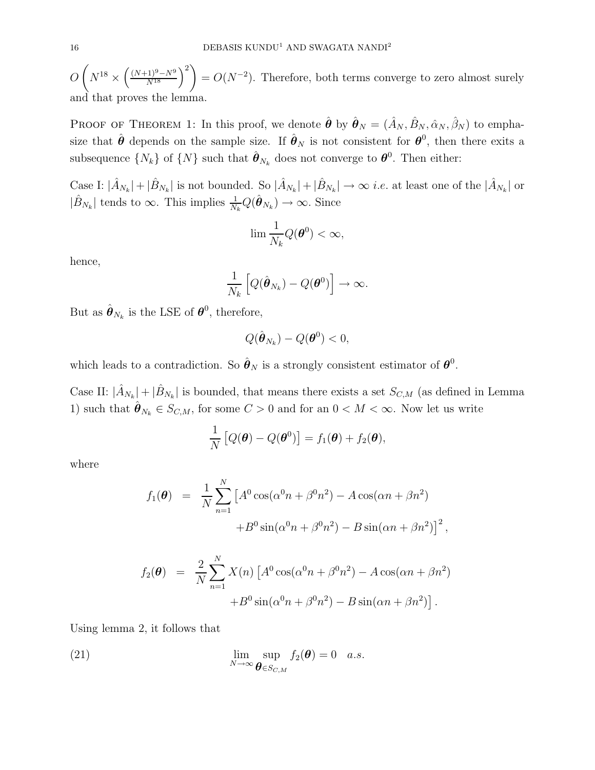$O(N^{18} \times \left(\frac{(N+1)^9 - N^9}{N^{18}}\right)^2) = O(N^{-2})$ . Therefore, both terms converge to zero almost surely and that proves the lemma.

PROOF OF THEOREM 1: In this proof, we denote  $\hat{\theta}$  by  $\hat{\theta}_N = (\hat{A}_N, \hat{B}_N, \hat{\alpha}_N, \hat{\beta}_N)$  to emphasize that  $\hat{\theta}$  depends on the sample size. If  $\hat{\theta}_N$  is not consistent for  $\theta^0$ , then there exits a subsequence  $\{N_k\}$  of  $\{N\}$  such that  $\hat{\boldsymbol{\theta}}_{N_k}$  does not converge to  $\boldsymbol{\theta}^0$ . Then either:

Case I:  $|\hat{A}_{N_k}| + |\hat{B}_{N_k}|$  is not bounded. So  $|\hat{A}_{N_k}| + |\hat{B}_{N_k}| \to \infty$  *i.e.* at least one of the  $|\hat{A}_{N_k}|$  or  $|\hat{B}_{N_k}|$  tends to  $\infty$ . This implies  $\frac{1}{N_k}Q(\hat{\boldsymbol{\theta}}_{N_k}) \to \infty$ . Since

$$
\lim \frac{1}{N_k} Q(\boldsymbol{\theta}^0) < \infty,
$$

hence,

$$
\frac{1}{N_k}\left[Q(\hat{\boldsymbol{\theta}}_{N_k})-Q(\boldsymbol{\theta}^0)\right]\to\infty.
$$

But as  $\hat{\boldsymbol{\theta}}_{N_k}$  is the LSE of  $\boldsymbol{\theta}^0$ , therefore,

$$
Q(\hat{\boldsymbol{\theta}}_{N_k}) - Q(\boldsymbol{\theta}^0) < 0,
$$

which leads to a contradiction. So  $\hat{\theta}_N$  is a strongly consistent estimator of  $\theta^0$ .

Case II:  $|\hat{A}_{N_k}| + |\hat{B}_{N_k}|$  is bounded, that means there exists a set  $S_{C,M}$  (as defined in Lemma 1) such that  $\hat{\theta}_{N_k} \in S_{C,M}$ , for some  $C > 0$  and for an  $0 < M < \infty$ . Now let us write

$$
\frac{1}{N}\left[Q(\boldsymbol{\theta})-Q(\boldsymbol{\theta}^0)\right]=f_1(\boldsymbol{\theta})+f_2(\boldsymbol{\theta}),
$$

where

$$
f_1(\theta) = \frac{1}{N} \sum_{n=1}^{N} \left[ A^0 \cos(\alpha^0 n + \beta^0 n^2) - A \cos(\alpha n + \beta n^2) + B^0 \sin(\alpha^0 n + \beta^0 n^2) - B \sin(\alpha n + \beta n^2) \right]^2
$$

,

$$
f_2(\theta) = \frac{2}{N} \sum_{n=1}^{N} X(n) \left[ A^0 \cos(\alpha^0 n + \beta^0 n^2) - A \cos(\alpha n + \beta n^2) + B^0 \sin(\alpha^0 n + \beta^0 n^2) - B \sin(\alpha n + \beta n^2) \right].
$$

Using lemma 2, it follows that

(21) 
$$
\lim_{N \to \infty} \sup_{\boldsymbol{\theta} \in S_{C,M}} f_2(\boldsymbol{\theta}) = 0 \quad a.s.
$$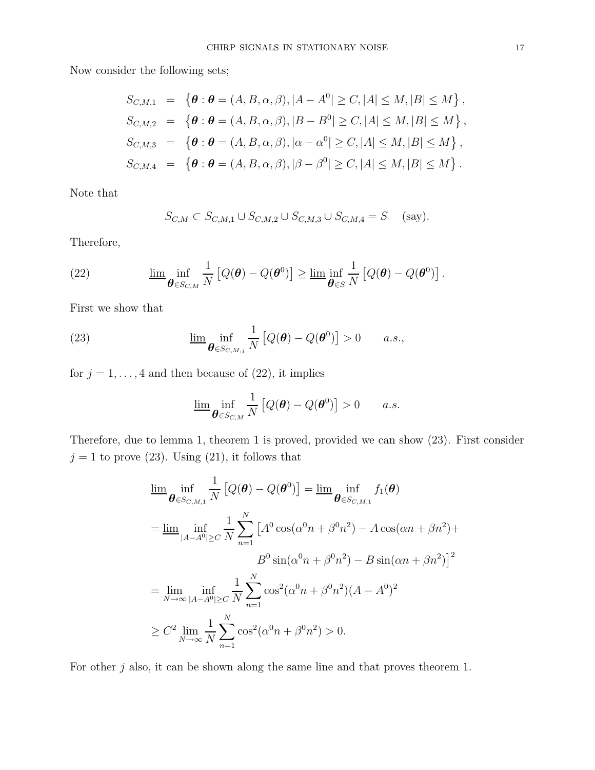Now consider the following sets;

$$
S_{C,M,1} = \{ \theta : \theta = (A, B, \alpha, \beta), |A - A^0| \ge C, |A| \le M, |B| \le M \},
$$
  
\n
$$
S_{C,M,2} = \{ \theta : \theta = (A, B, \alpha, \beta), |B - B^0| \ge C, |A| \le M, |B| \le M \},
$$
  
\n
$$
S_{C,M,3} = \{ \theta : \theta = (A, B, \alpha, \beta), |\alpha - \alpha^0| \ge C, |A| \le M, |B| \le M \},
$$
  
\n
$$
S_{C,M,4} = \{ \theta : \theta = (A, B, \alpha, \beta), |\beta - \beta^0| \ge C, |A| \le M, |B| \le M \}.
$$

Note that

$$
S_{C,M} \subset S_{C,M,1} \cup S_{C,M,2} \cup S_{C,M,3} \cup S_{C,M,4} = S
$$
 (say).

Therefore,

(22) 
$$
\underline{\lim}_{\theta \in S_{C,M}} \frac{1}{N} \left[ Q(\theta) - Q(\theta^0) \right] \ge \underline{\lim}_{\theta \in S} \frac{1}{N} \left[ Q(\theta) - Q(\theta^0) \right].
$$

First we show that

(23) 
$$
\underline{\lim}_{\theta \in S_{C,M,j}} \frac{1}{N} \left[ Q(\theta) - Q(\theta^0) \right] > 0 \quad a.s.,
$$

for  $j = 1, \ldots, 4$  and then because of (22), it implies

$$
\underline{\lim}_{\theta \in S_{C,M}} \frac{1}{N} \left[ Q(\theta) - Q(\theta^0) \right] > 0 \quad a.s.
$$

Therefore, due to lemma 1, theorem 1 is proved, provided we can show (23). First consider  $j=1$  to prove (23). Using (21), it follows that

$$
\lim_{\theta \in S_{C,M,1}} \inf_{N} \frac{1}{N} \left[ Q(\theta) - Q(\theta^{0}) \right] = \lim_{\theta \in S_{C,M,1}} f_{1}(\theta)
$$
\n
$$
= \lim_{|A-A^{0}| \geq C} \inf_{N} \sum_{n=1}^{N} \left[ A^{0} \cos(\alpha^{0} n + \beta^{0} n^{2}) - A \cos(\alpha n + \beta n^{2}) + B^{0} \sin(\alpha^{0} n + \beta^{0} n^{2}) - B \sin(\alpha n + \beta n^{2}) \right]^{2}
$$
\n
$$
= \lim_{N \to \infty} \inf_{|A-A^{0}| \geq C} \frac{1}{N} \sum_{n=1}^{N} \cos^{2}(\alpha^{0} n + \beta^{0} n^{2}) (A - A^{0})^{2}
$$
\n
$$
\geq C^{2} \lim_{N \to \infty} \frac{1}{N} \sum_{n=1}^{N} \cos^{2}(\alpha^{0} n + \beta^{0} n^{2}) > 0.
$$

For other  $j$  also, it can be shown along the same line and that proves theorem 1.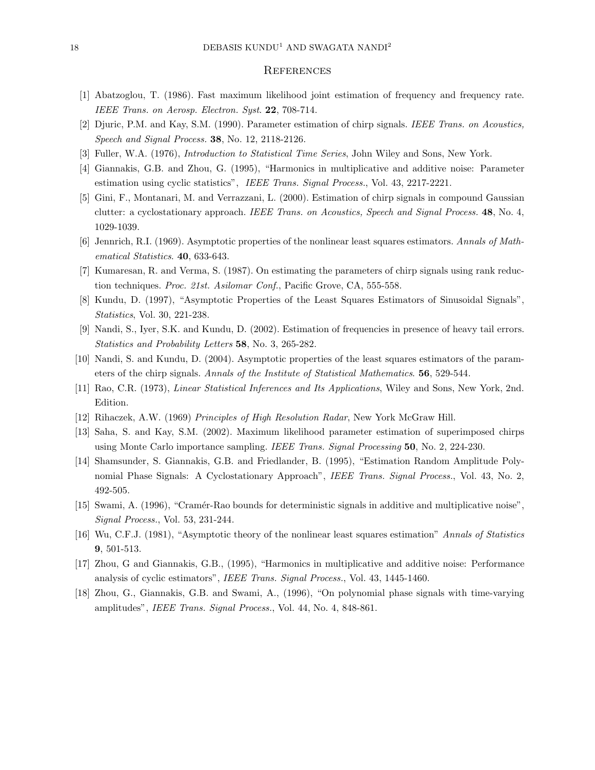#### **REFERENCES**

- [1] Abatzoglou, T. (1986). Fast maximum likelihood joint estimation of frequency and frequency rate. IEEE Trans. on Aerosp. Electron. Syst. 22, 708-714.
- [2] Djuric, P.M. and Kay, S.M. (1990). Parameter estimation of chirp signals. IEEE Trans. on Acoustics, Speech and Signal Process. 38, No. 12, 2118-2126.
- [3] Fuller, W.A. (1976), Introduction to Statistical Time Series, John Wiley and Sons, New York.
- [4] Giannakis, G.B. and Zhou, G. (1995), "Harmonics in multiplicative and additive noise: Parameter estimation using cyclic statistics", IEEE Trans. Signal Process., Vol. 43, 2217-2221.
- [5] Gini, F., Montanari, M. and Verrazzani, L. (2000). Estimation of chirp signals in compound Gaussian clutter: a cyclostationary approach. IEEE Trans. on Acoustics, Speech and Signal Process. 48, No. 4, 1029-1039.
- [6] Jennrich, R.I. (1969). Asymptotic properties of the nonlinear least squares estimators. Annals of Mathematical Statistics. 40, 633-643.
- [7] Kumaresan, R. and Verma, S. (1987). On estimating the parameters of chirp signals using rank reduction techniques. Proc. 21st. Asilomar Conf., Pacific Grove, CA, 555-558.
- [8] Kundu, D. (1997), "Asymptotic Properties of the Least Squares Estimators of Sinusoidal Signals", Statistics, Vol. 30, 221-238.
- [9] Nandi, S., Iyer, S.K. and Kundu, D. (2002). Estimation of frequencies in presence of heavy tail errors. Statistics and Probability Letters 58, No. 3, 265-282.
- [10] Nandi, S. and Kundu, D. (2004). Asymptotic properties of the least squares estimators of the parameters of the chirp signals. Annals of the Institute of Statistical Mathematics. 56, 529-544.
- [11] Rao, C.R. (1973), Linear Statistical Inferences and Its Applications, Wiley and Sons, New York, 2nd. Edition.
- [12] Rihaczek, A.W. (1969) Principles of High Resolution Radar, New York McGraw Hill.
- [13] Saha, S. and Kay, S.M. (2002). Maximum likelihood parameter estimation of superimposed chirps using Monte Carlo importance sampling. IEEE Trans. Signal Processing 50, No. 2, 224-230.
- [14] Shamsunder, S. Giannakis, G.B. and Friedlander, B. (1995), "Estimation Random Amplitude Polynomial Phase Signals: A Cyclostationary Approach", IEEE Trans. Signal Process., Vol. 43, No. 2, 492-505.
- [15] Swami, A. (1996), "Cram´er-Rao bounds for deterministic signals in additive and multiplicative noise", Signal Process., Vol. 53, 231-244.
- [16] Wu, C.F.J. (1981), "Asymptotic theory of the nonlinear least squares estimation" Annals of Statistics 9, 501-513.
- [17] Zhou, G and Giannakis, G.B., (1995), "Harmonics in multiplicative and additive noise: Performance analysis of cyclic estimators", IEEE Trans. Signal Process., Vol. 43, 1445-1460.
- [18] Zhou, G., Giannakis, G.B. and Swami, A., (1996), "On polynomial phase signals with time-varying amplitudes", IEEE Trans. Signal Process., Vol. 44, No. 4, 848-861.